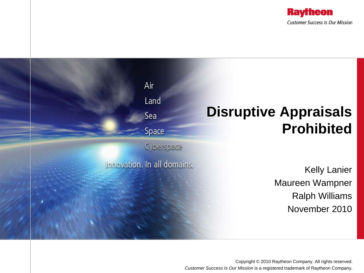



Copyright © 2010 Raytheon Company. All rights reserved. *Customer Success Is Our Mission* is a registered trademark of Raytheon Company.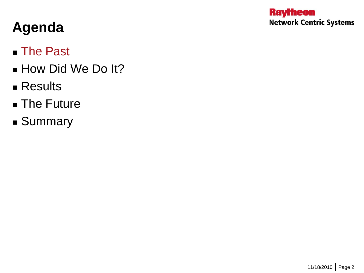# **Agenda**

#### ■ The Past

- **How Did We Do It?**
- **Results**
- **The Future**
- **Summary**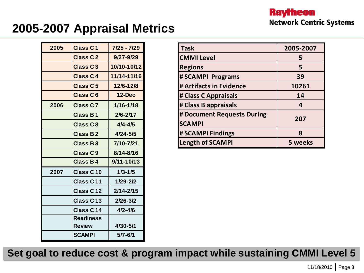#### **2005-2007 Appraisal Metrics**

| 2005 | <b>Class C1</b>       | 7/25 - 7/29    |  |
|------|-----------------------|----------------|--|
|      | <b>Class C2</b>       | $9/27 - 9/29$  |  |
|      | <b>Class C3</b>       | 10/10-10/12    |  |
|      | <b>Class C4</b>       | 11/14-11/16    |  |
|      | <b>Class C5</b>       | 12/6-12/8      |  |
|      | <b>Class C6</b>       | $12$ -Dec      |  |
| 2006 | Class C <sub>7</sub>  | $1/16 - 1/18$  |  |
|      | Class B1              | $2/6 - 2/17$   |  |
|      | <b>Class C8</b>       | $4/4 - 4/5$    |  |
|      | <b>Class B2</b>       | $4/24 - 5/5$   |  |
|      | <b>Class B3</b>       | 7/10-7/21      |  |
|      | Class C9              | 8/14-8/16      |  |
|      | <b>Class B4</b>       | $9/11 - 10/13$ |  |
| 2007 | Class C10             | $1/3 - 1/5$    |  |
|      | Class C11             | $1/29 - 2/2$   |  |
|      | Class C12             | $2/14 - 2/15$  |  |
|      | Class C <sub>13</sub> | $2/26 - 3/2$   |  |
|      | Class C14             | $4/2 - 4/6$    |  |
|      | <b>Readiness</b>      |                |  |
|      | <b>Review</b>         | 4/30-5/1       |  |
|      | <b>SCAMPI</b>         | 5/7-6/1        |  |

| <b>Task</b>                                 | 2005-2007 |  |
|---------------------------------------------|-----------|--|
| <b>CMMI Level</b>                           | 5         |  |
| <b>Regions</b>                              | 5         |  |
| # SCAMPI Programs                           | 39        |  |
| # Artifacts in Evidence                     | 10261     |  |
| # Class C Appraisals                        | 14        |  |
| # Class B appraisals                        | 4         |  |
| # Document Requests During<br><b>SCAMPI</b> | 207       |  |
| # SCAMPI Findings                           | 8         |  |
| <b>Length of SCAMPI</b>                     | 5 weeks   |  |

**Set goal to reduce cost & program impact while sustaining CMMI Level 5**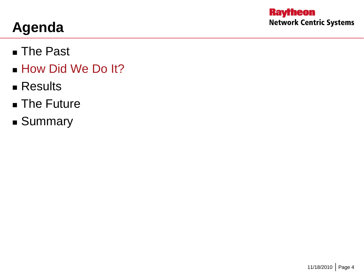- The Past
- **How Did We Do It?**
- **Results**
- **The Future**
- **Summary**

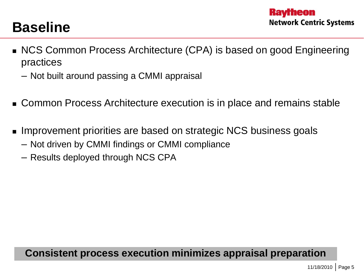### **Baseline**

- NCS Common Process Architecture (CPA) is based on good Engineering practices
	- Not built around passing a CMMI appraisal
- Common Process Architecture execution is in place and remains stable
- Improvement priorities are based on strategic NCS business goals
	- Not driven by CMMI findings or CMMI compliance
	- Results deployed through NCS CPA

#### **Consistent process execution minimizes appraisal preparation**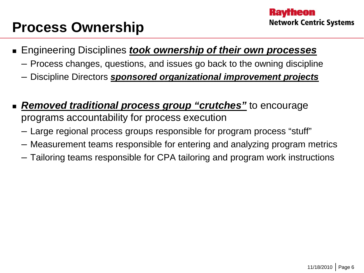### **Process Ownership**

- Engineering Disciplines *took ownership of their own processes*
	- Process changes, questions, and issues go back to the owning discipline
	- Discipline Directors *sponsored organizational improvement projects*
- *Removed traditional process group "crutches"* to encourage programs accountability for process execution
	- Large regional process groups responsible for program process "stuff"
	- Measurement teams responsible for entering and analyzing program metrics
	- Tailoring teams responsible for CPA tailoring and program work instructions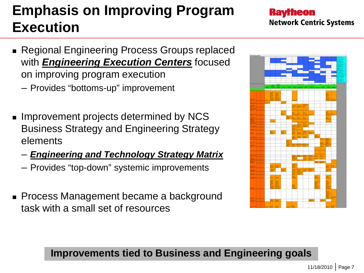# **Emphasis on Improving Program Execution**

- Regional Engineering Process Groups replaced with *Engineering Execution Centers* focused on improving program execution
	- Provides "bottoms-up" improvement
- **IMPROVEMENT projects determined by NCS** Business Strategy and Engineering Strategy elements
	- *Engineering and Technology Strategy Matrix*
	- Provides "top-down" systemic improvements
- **Process Management became a background** task with a small set of resources



#### **Improvements tied to Business and Engineering goals**

**Kavrheon Network Centric Systems**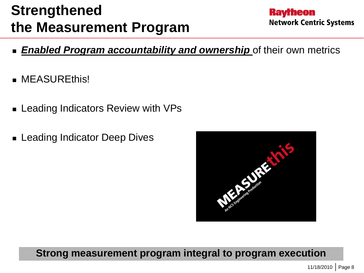## **Strengthened the Measurement Program**

- **Raytheon Network Centric Systems**
- *Enabled Program accountability and ownership* of their own metrics
- **MEASUREthis!**
- Leading Indicators Review with VPs
- **E** Leading Indicator Deep Dives



#### **Strong measurement program integral to program execution**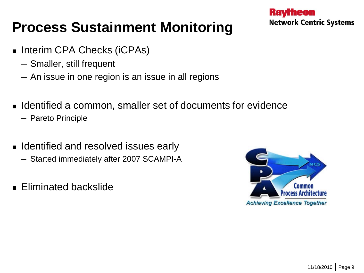### **Process Sustainment Monitoring**

- Interim CPA Checks (iCPAs)
	- Smaller, still frequent
	- An issue in one region is an issue in all regions
- **IDENTIFIEM** 1 dentified a common, smaller set of documents for evidence
	- Pareto Principle
- **I** Identified and resolved issues early
	- Started immediately after 2007 SCAMPI-A
- **Eliminated backslide**

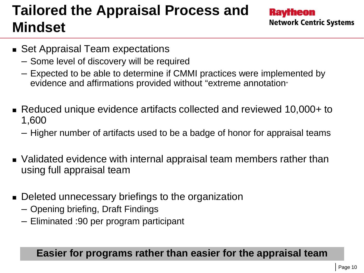# **Tailored the Appraisal Process and Mindset**

**Kavrheon Network Centric Systems** 

- Set Appraisal Team expectations
	- Some level of discovery will be required
	- Expected to be able to determine if CMMI practices were implemented by evidence and affirmations provided without "extreme annotation"
- Reduced unique evidence artifacts collected and reviewed 10,000+ to 1,600
	- Higher number of artifacts used to be a badge of honor for appraisal teams
- Validated evidence with internal appraisal team members rather than using full appraisal team
- Deleted unnecessary briefings to the organization
	- Opening briefing, Draft Findings
	- Eliminated :90 per program participant

#### **Easier for programs rather than easier for the appraisal team**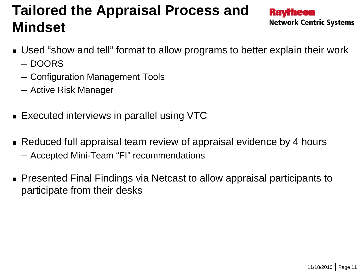### **Tailored the Appraisal Process and Mindset**

- Used "show and tell" format to allow programs to better explain their work – DOORS
	- Configuration Management Tools
	- Active Risk Manager
- **Executed interviews in parallel using VTC**
- **Reduced full appraisal team review of appraisal evidence by 4 hours** – Accepted Mini-Team "FI" recommendations
- Presented Final Findings via Netcast to allow appraisal participants to participate from their desks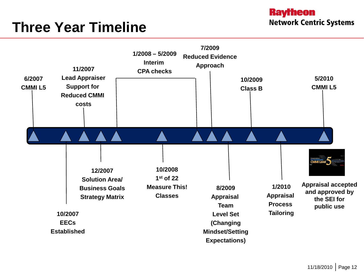### **Three Year Timeline**

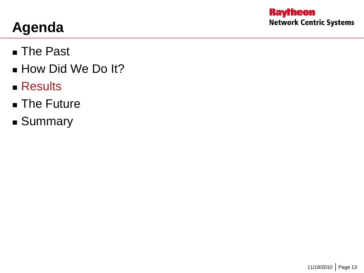- The Past
- **How Did We Do It?**
- **Results**
- **The Future**
- **Summary**

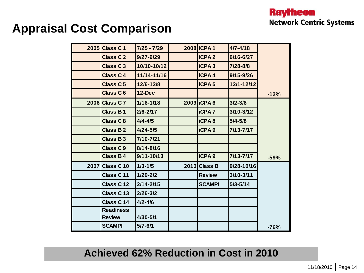#### **Appraisal Cost Comparison**

| 2005 | Class C1                          | $7/25 - 7/29$  | 2008 <b>ICPA1</b> | $4/7 - 4/18$  |        |
|------|-----------------------------------|----------------|-------------------|---------------|--------|
|      | <b>Class C2</b>                   | 9/27-9/29      | <b>iCPA2</b>      | 6/16-6/27     |        |
|      | <b>Class C3</b>                   | 10/10-10/12    | <b>iCPA3</b>      | 7/28-8/8      |        |
|      | Class C4                          | 11/14-11/16    | <b>iCPA4</b>      | $9/15 - 9/26$ |        |
|      | Class C <sub>5</sub>              | $12/6 - 12/8$  | <b>iCPA5</b>      | 12/1-12/12    |        |
|      | <b>Class C6</b>                   | <b>12-Dec</b>  |                   |               | $-12%$ |
|      | 2006 Class C 7                    | $1/16 - 1/18$  | 2009 <b>ICPA6</b> | $3/2 - 3/6$   |        |
|      | Class B1                          | $2/6 - 2/17$   | <b>iCPA7</b>      | $3/10 - 3/12$ |        |
|      | Class C8                          | $4/4 - 4/5$    | <b>iCPA8</b>      | $5/4 - 5/8$   |        |
|      | Class B 2                         | $4/24 - 5/5$   | <b>iCPA9</b>      | 7/13-7/17     |        |
|      | <b>Class B3</b>                   | 7/10-7/21      |                   |               |        |
|      | Class C9                          | $8/14 - 8/16$  |                   |               |        |
|      | Class B4                          | $9/11 - 10/13$ | <b>iCPA 9</b>     | 7/13-7/17     | $-59%$ |
| 2007 | Class C <sub>10</sub>             | $1/3 - 1/5$    | $2010$ Class B    | 9/28-10/16    |        |
|      | Class C11                         | $1/29 - 2/2$   | <b>Review</b>     | $3/10 - 3/11$ |        |
|      | Class C12                         | $2/14 - 2/15$  | <b>SCAMPI</b>     | $5/3 - 5/14$  |        |
|      | Class C13                         | $2/26 - 3/2$   |                   |               |        |
|      | Class C14                         | $4/2 - 4/6$    |                   |               |        |
|      | <b>Readiness</b><br><b>Review</b> | 4/30-5/1       |                   |               |        |
|      | <b>SCAMPI</b>                     | $5/7 - 6/1$    |                   |               | $-76%$ |

#### **Achieved 62% Reduction in Cost in 2010**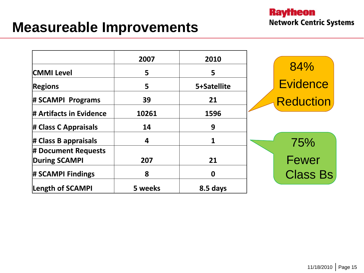#### **Measureable Improvements**

|                         | 2007    | 2010        |                  |
|-------------------------|---------|-------------|------------------|
| <b>CMMI Level</b>       | 5       | 5           | 84%              |
| <b>Regions</b>          | 5       | 5+Satellite | <b>Evidence</b>  |
| # SCAMPI Programs       | 39      | 21          | <b>Reduction</b> |
| # Artifacts in Evidence | 10261   | 1596        |                  |
| # Class C Appraisals    | 14      | 9           |                  |
| $\#$ Class B appraisals | 4       | 1           | 75%              |
| # Document Requests     |         |             |                  |
| <b>During SCAMPI</b>    | 207     | 21          | <b>Fewer</b>     |
| # SCAMPI Findings       | 8       | 0           | <b>Class Bs</b>  |
| Length of SCAMPI        | 5 weeks | 8.5 days    |                  |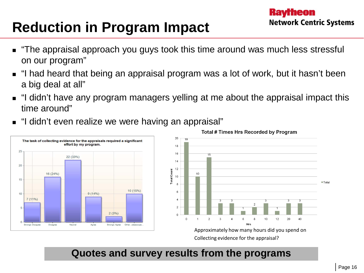## **Reduction in Program Impact**

- "The appraisal approach you guys took this time around was much less stressful on our program"
- "I had heard that being an appraisal program was a lot of work, but it hasn't been a big deal at all"
- "I didn't have any program managers yelling at me about the appraisal impact this time around"
- "I didn't even realize we were having an appraisal"





Total # Times Hrs Recorded by Program

Approximately how many hours did you spend on Collecting evidence for the appraisal?

#### **Quotes and survey results from the programs**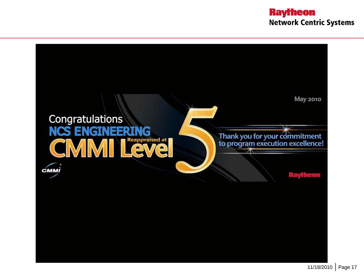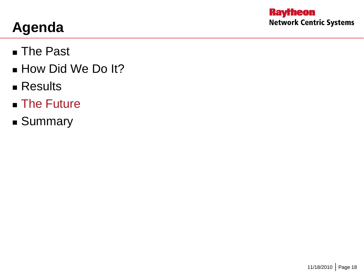- The Past
- **How Did We Do It?**
- **Results**
- **The Future**
- **Summary**

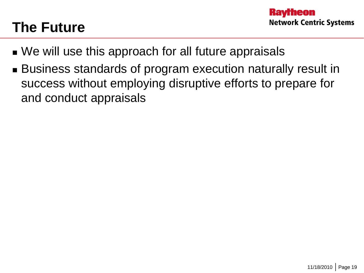### **The Future**

- We will use this approach for all future appraisals
- Business standards of program execution naturally result in success without employing disruptive efforts to prepare for and conduct appraisals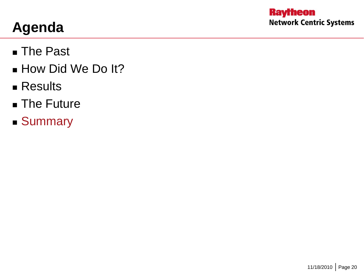- The Past
- **How Did We Do It?**
- **Results**
- **The Future**
- Summary